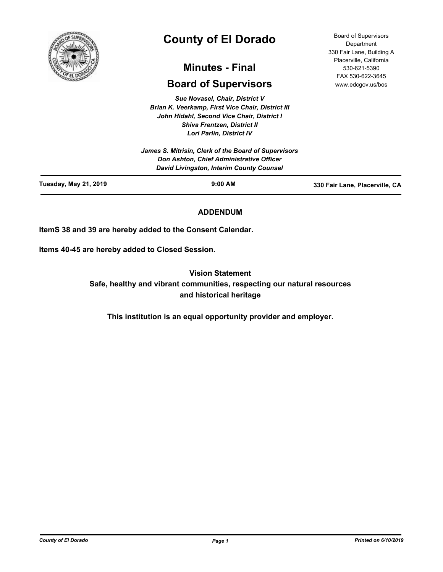

# **County of El Dorado**

# **Minutes - Final**

# **Board of Supervisors**

*Sue Novasel, Chair, District V Brian K. Veerkamp, First Vice Chair, District III John Hidahl, Second Vice Chair, District I Shiva Frentzen, District II Lori Parlin, District IV*

Board of Supervisors **Department** 330 Fair Lane, Building A Placerville, California 530-621-5390 FAX 530-622-3645 www.edcgov.us/bos

| Don Ashton, Chief Administrative Officer<br>David Livingston, Interim County Counsel |  |
|--------------------------------------------------------------------------------------|--|
| James S. Mitrisin, Clerk of the Board of Supervisors                                 |  |

# **ADDENDUM**

**ItemS 38 and 39 are hereby added to the Consent Calendar.**

**Items 40-45 are hereby added to Closed Session.**

**Vision Statement** 

**Safe, healthy and vibrant communities, respecting our natural resources and historical heritage**

**This institution is an equal opportunity provider and employer.**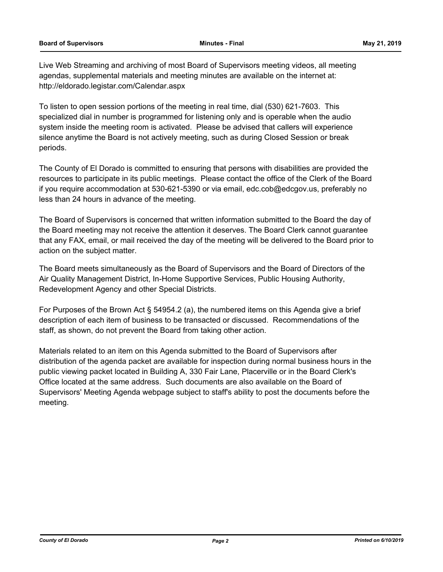Live Web Streaming and archiving of most Board of Supervisors meeting videos, all meeting agendas, supplemental materials and meeting minutes are available on the internet at: http://eldorado.legistar.com/Calendar.aspx

To listen to open session portions of the meeting in real time, dial (530) 621-7603. This specialized dial in number is programmed for listening only and is operable when the audio system inside the meeting room is activated. Please be advised that callers will experience silence anytime the Board is not actively meeting, such as during Closed Session or break periods.

The County of El Dorado is committed to ensuring that persons with disabilities are provided the resources to participate in its public meetings. Please contact the office of the Clerk of the Board if you require accommodation at 530-621-5390 or via email, edc.cob@edcgov.us, preferably no less than 24 hours in advance of the meeting.

The Board of Supervisors is concerned that written information submitted to the Board the day of the Board meeting may not receive the attention it deserves. The Board Clerk cannot guarantee that any FAX, email, or mail received the day of the meeting will be delivered to the Board prior to action on the subject matter.

The Board meets simultaneously as the Board of Supervisors and the Board of Directors of the Air Quality Management District, In-Home Supportive Services, Public Housing Authority, Redevelopment Agency and other Special Districts.

For Purposes of the Brown Act § 54954.2 (a), the numbered items on this Agenda give a brief description of each item of business to be transacted or discussed. Recommendations of the staff, as shown, do not prevent the Board from taking other action.

Materials related to an item on this Agenda submitted to the Board of Supervisors after distribution of the agenda packet are available for inspection during normal business hours in the public viewing packet located in Building A, 330 Fair Lane, Placerville or in the Board Clerk's Office located at the same address. Such documents are also available on the Board of Supervisors' Meeting Agenda webpage subject to staff's ability to post the documents before the meeting.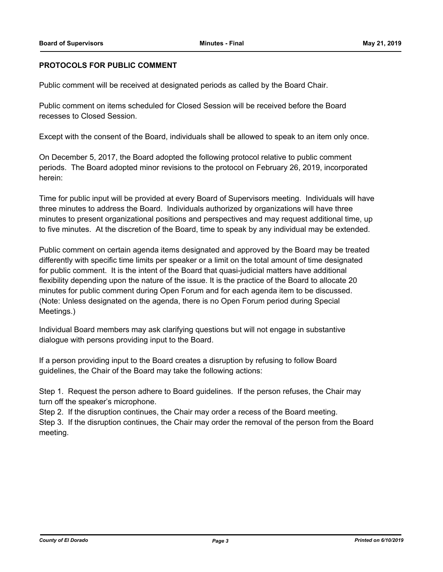### **PROTOCOLS FOR PUBLIC COMMENT**

Public comment will be received at designated periods as called by the Board Chair.

Public comment on items scheduled for Closed Session will be received before the Board recesses to Closed Session.

Except with the consent of the Board, individuals shall be allowed to speak to an item only once.

On December 5, 2017, the Board adopted the following protocol relative to public comment periods. The Board adopted minor revisions to the protocol on February 26, 2019, incorporated herein:

Time for public input will be provided at every Board of Supervisors meeting. Individuals will have three minutes to address the Board. Individuals authorized by organizations will have three minutes to present organizational positions and perspectives and may request additional time, up to five minutes. At the discretion of the Board, time to speak by any individual may be extended.

Public comment on certain agenda items designated and approved by the Board may be treated differently with specific time limits per speaker or a limit on the total amount of time designated for public comment. It is the intent of the Board that quasi-judicial matters have additional flexibility depending upon the nature of the issue. It is the practice of the Board to allocate 20 minutes for public comment during Open Forum and for each agenda item to be discussed. (Note: Unless designated on the agenda, there is no Open Forum period during Special Meetings.)

Individual Board members may ask clarifying questions but will not engage in substantive dialogue with persons providing input to the Board.

If a person providing input to the Board creates a disruption by refusing to follow Board guidelines, the Chair of the Board may take the following actions:

Step 1. Request the person adhere to Board guidelines. If the person refuses, the Chair may turn off the speaker's microphone.

Step 2. If the disruption continues, the Chair may order a recess of the Board meeting.

Step 3. If the disruption continues, the Chair may order the removal of the person from the Board meeting.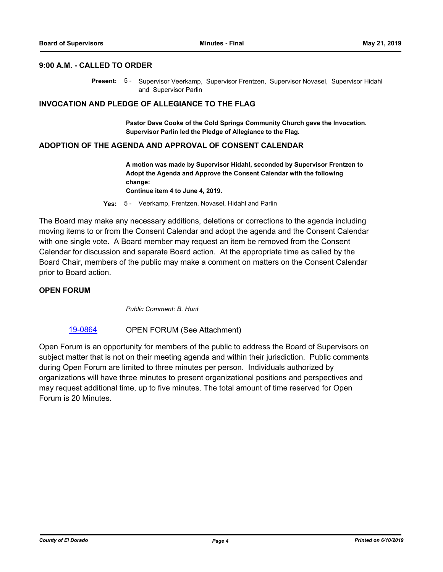# **9:00 A.M. - CALLED TO ORDER**

Present: 5 - Supervisor Veerkamp, Supervisor Frentzen, Supervisor Novasel, Supervisor Hidahl and Supervisor Parlin

#### **INVOCATION AND PLEDGE OF ALLEGIANCE TO THE FLAG**

**Pastor Dave Cooke of the Cold Springs Community Church gave the Invocation. Supervisor Parlin led the Pledge of Allegiance to the Flag.**

#### **ADOPTION OF THE AGENDA AND APPROVAL OF CONSENT CALENDAR**

**A motion was made by Supervisor Hidahl, seconded by Supervisor Frentzen to Adopt the Agenda and Approve the Consent Calendar with the following change: Continue item 4 to June 4, 2019.**

**Yes:** 5 - Veerkamp, Frentzen, Novasel, Hidahl and Parlin

The Board may make any necessary additions, deletions or corrections to the agenda including moving items to or from the Consent Calendar and adopt the agenda and the Consent Calendar with one single vote. A Board member may request an item be removed from the Consent Calendar for discussion and separate Board action. At the appropriate time as called by the Board Chair, members of the public may make a comment on matters on the Consent Calendar prior to Board action.

#### **OPEN FORUM**

*Public Comment: B. Hunt*

#### [19-0864](http://eldorado.legistar.com/gateway.aspx?m=l&id=/matter.aspx?key=26187) OPEN FORUM (See Attachment)

Open Forum is an opportunity for members of the public to address the Board of Supervisors on subject matter that is not on their meeting agenda and within their jurisdiction. Public comments during Open Forum are limited to three minutes per person. Individuals authorized by organizations will have three minutes to present organizational positions and perspectives and may request additional time, up to five minutes. The total amount of time reserved for Open Forum is 20 Minutes.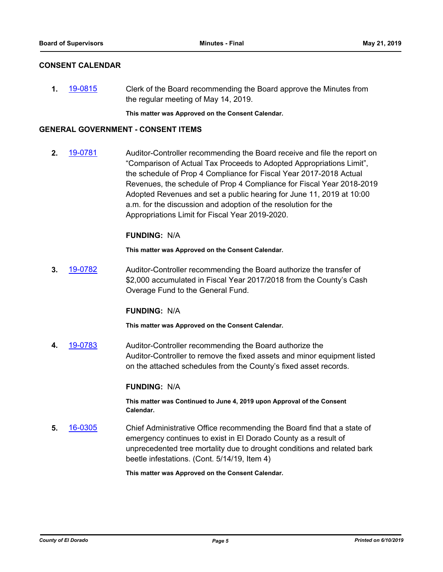# **CONSENT CALENDAR**

**1.** [19-0815](http://eldorado.legistar.com/gateway.aspx?m=l&id=/matter.aspx?key=26138) Clerk of the Board recommending the Board approve the Minutes from the regular meeting of May 14, 2019.

**This matter was Approved on the Consent Calendar.**

#### **GENERAL GOVERNMENT - CONSENT ITEMS**

**2.** [19-0781](http://eldorado.legistar.com/gateway.aspx?m=l&id=/matter.aspx?key=26103) Auditor-Controller recommending the Board receive and file the report on "Comparison of Actual Tax Proceeds to Adopted Appropriations Limit", the schedule of Prop 4 Compliance for Fiscal Year 2017-2018 Actual Revenues, the schedule of Prop 4 Compliance for Fiscal Year 2018-2019 Adopted Revenues and set a public hearing for June 11, 2019 at 10:00 a.m. for the discussion and adoption of the resolution for the Appropriations Limit for Fiscal Year 2019-2020.

#### **FUNDING:** N/A

**This matter was Approved on the Consent Calendar.**

**3.** [19-0782](http://eldorado.legistar.com/gateway.aspx?m=l&id=/matter.aspx?key=26104) Auditor-Controller recommending the Board authorize the transfer of \$2,000 accumulated in Fiscal Year 2017/2018 from the County's Cash Overage Fund to the General Fund.

#### **FUNDING:** N/A

**This matter was Approved on the Consent Calendar.**

**4.** [19-0783](http://eldorado.legistar.com/gateway.aspx?m=l&id=/matter.aspx?key=26105) Auditor-Controller recommending the Board authorize the Auditor-Controller to remove the fixed assets and minor equipment listed on the attached schedules from the County's fixed asset records.

# **FUNDING:** N/A

**This matter was Continued to June 4, 2019 upon Approval of the Consent Calendar.**

**5.** [16-0305](http://eldorado.legistar.com/gateway.aspx?m=l&id=/matter.aspx?key=20961) Chief Administrative Office recommending the Board find that a state of emergency continues to exist in El Dorado County as a result of unprecedented tree mortality due to drought conditions and related bark beetle infestations. (Cont. 5/14/19, Item 4)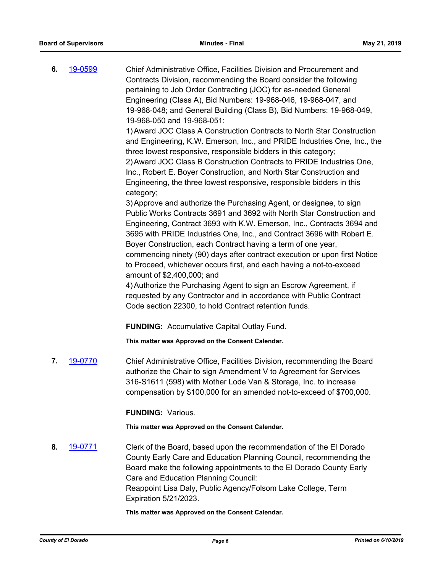**6.** [19-0599](http://eldorado.legistar.com/gateway.aspx?m=l&id=/matter.aspx?key=25920) Chief Administrative Office, Facilities Division and Procurement and Contracts Division, recommending the Board consider the following pertaining to Job Order Contracting (JOC) for as-needed General Engineering (Class A), Bid Numbers: 19-968-046, 19-968-047, and 19-968-048; and General Building (Class B), Bid Numbers: 19-968-049, 19-968-050 and 19-968-051:

> 1)Award JOC Class A Construction Contracts to North Star Construction and Engineering, K.W. Emerson, Inc., and PRIDE Industries One, Inc., the three lowest responsive, responsible bidders in this category; 2)Award JOC Class B Construction Contracts to PRIDE Industries One,

Inc., Robert E. Boyer Construction, and North Star Construction and Engineering, the three lowest responsive, responsible bidders in this category;

3)Approve and authorize the Purchasing Agent, or designee, to sign Public Works Contracts 3691 and 3692 with North Star Construction and Engineering, Contract 3693 with K.W. Emerson, Inc., Contracts 3694 and 3695 with PRIDE Industries One, Inc., and Contract 3696 with Robert E. Boyer Construction, each Contract having a term of one year, commencing ninety (90) days after contract execution or upon first Notice to Proceed, whichever occurs first, and each having a not-to-exceed amount of \$2,400,000; and

4)Authorize the Purchasing Agent to sign an Escrow Agreement, if requested by any Contractor and in accordance with Public Contract Code section 22300, to hold Contract retention funds.

**FUNDING:** Accumulative Capital Outlay Fund.

**This matter was Approved on the Consent Calendar.**

**7.** [19-0770](http://eldorado.legistar.com/gateway.aspx?m=l&id=/matter.aspx?key=26092) Chief Administrative Office, Facilities Division, recommending the Board authorize the Chair to sign Amendment V to Agreement for Services 316-S1611 (598) with Mother Lode Van & Storage, Inc. to increase compensation by \$100,000 for an amended not-to-exceed of \$700,000.

**FUNDING:** Various.

**This matter was Approved on the Consent Calendar.**

**8.** [19-0771](http://eldorado.legistar.com/gateway.aspx?m=l&id=/matter.aspx?key=26093) Clerk of the Board, based upon the recommendation of the El Dorado County Early Care and Education Planning Council, recommending the Board make the following appointments to the El Dorado County Early Care and Education Planning Council: Reappoint Lisa Daly, Public Agency/Folsom Lake College, Term Expiration 5/21/2023.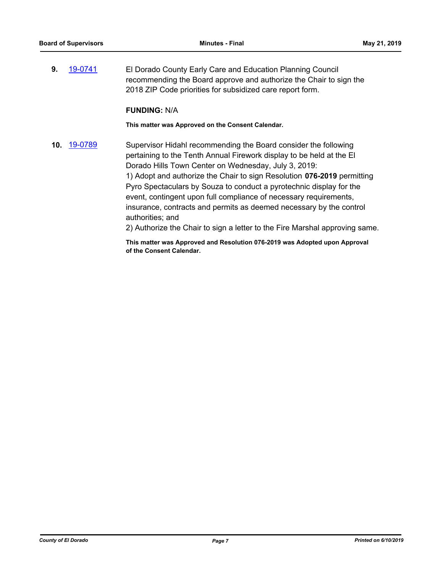**9.** [19-0741](http://eldorado.legistar.com/gateway.aspx?m=l&id=/matter.aspx?key=26063) El Dorado County Early Care and Education Planning Council recommending the Board approve and authorize the Chair to sign the 2018 ZIP Code priorities for subsidized care report form.

#### **FUNDING:** N/A

**This matter was Approved on the Consent Calendar.**

**10.** [19-0789](http://eldorado.legistar.com/gateway.aspx?m=l&id=/matter.aspx?key=26112) Supervisor Hidahl recommending the Board consider the following pertaining to the Tenth Annual Firework display to be held at the El Dorado Hills Town Center on Wednesday, July 3, 2019: 1) Adopt and authorize the Chair to sign Resolution **076-2019** permitting Pyro Spectaculars by Souza to conduct a pyrotechnic display for the event, contingent upon full compliance of necessary requirements, insurance, contracts and permits as deemed necessary by the control authorities; and 2) Authorize the Chair to sign a letter to the Fire Marshal approving same.

**This matter was Approved and Resolution 076-2019 was Adopted upon Approval** 

**of the Consent Calendar.**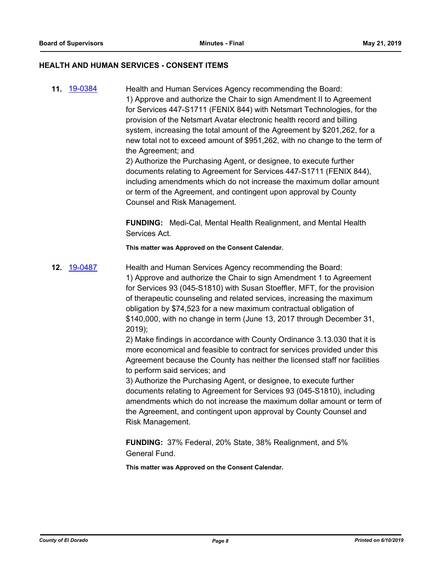#### **HEALTH AND HUMAN SERVICES - CONSENT ITEMS**

**11.** [19-0384](http://eldorado.legistar.com/gateway.aspx?m=l&id=/matter.aspx?key=25705) Health and Human Services Agency recommending the Board: 1) Approve and authorize the Chair to sign Amendment II to Agreement for Services 447-S1711 (FENIX 844) with Netsmart Technologies, for the provision of the Netsmart Avatar electronic health record and billing system, increasing the total amount of the Agreement by \$201,262, for a new total not to exceed amount of \$951,262, with no change to the term of the Agreement; and

2) Authorize the Purchasing Agent, or designee, to execute further documents relating to Agreement for Services 447-S1711 (FENIX 844), including amendments which do not increase the maximum dollar amount or term of the Agreement, and contingent upon approval by County Counsel and Risk Management.

**FUNDING:** Medi-Cal, Mental Health Realignment, and Mental Health Services Act.

**This matter was Approved on the Consent Calendar.**

**12.** [19-0487](http://eldorado.legistar.com/gateway.aspx?m=l&id=/matter.aspx?key=25808) Health and Human Services Agency recommending the Board: 1) Approve and authorize the Chair to sign Amendment 1 to Agreement for Services 93 (045-S1810) with Susan Stoeffler, MFT, for the provision of therapeutic counseling and related services, increasing the maximum obligation by \$74,523 for a new maximum contractual obligation of \$140,000, with no change in term (June 13, 2017 through December 31, 2019);

2) Make findings in accordance with County Ordinance 3.13.030 that it is more economical and feasible to contract for services provided under this Agreement because the County has neither the licensed staff nor facilities to perform said services; and

3) Authorize the Purchasing Agent, or designee, to execute further documents relating to Agreement for Services 93 (045-S1810), including amendments which do not increase the maximum dollar amount or term of the Agreement, and contingent upon approval by County Counsel and Risk Management.

**FUNDING:** 37% Federal, 20% State, 38% Realignment, and 5% General Fund.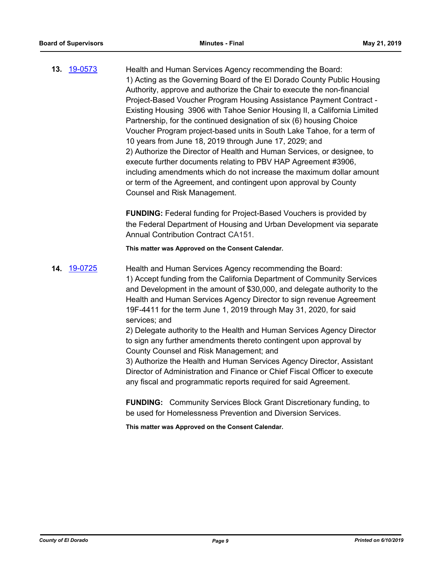**13.** [19-0573](http://eldorado.legistar.com/gateway.aspx?m=l&id=/matter.aspx?key=25894) Health and Human Services Agency recommending the Board: 1) Acting as the Governing Board of the El Dorado County Public Housing Authority, approve and authorize the Chair to execute the non-financial Project-Based Voucher Program Housing Assistance Payment Contract - Existing Housing 3906 with Tahoe Senior Housing II, a California Limited Partnership, for the continued designation of six (6) housing Choice Voucher Program project-based units in South Lake Tahoe, for a term of 10 years from June 18, 2019 through June 17, 2029; and 2) Authorize the Director of Health and Human Services, or designee, to execute further documents relating to PBV HAP Agreement #3906, including amendments which do not increase the maximum dollar amount or term of the Agreement, and contingent upon approval by County Counsel and Risk Management.

> **FUNDING:** Federal funding for Project-Based Vouchers is provided by the Federal Department of Housing and Urban Development via separate Annual Contribution Contract CA151.

**This matter was Approved on the Consent Calendar.**

**14.** [19-0725](http://eldorado.legistar.com/gateway.aspx?m=l&id=/matter.aspx?key=26047) Health and Human Services Agency recommending the Board: 1) Accept funding from the California Department of Community Services and Development in the amount of \$30,000, and delegate authority to the Health and Human Services Agency Director to sign revenue Agreement 19F-4411 for the term June 1, 2019 through May 31, 2020, for said services; and 2) Delegate authority to the Health and Human Services Agency Director

to sign any further amendments thereto contingent upon approval by County Counsel and Risk Management; and

3) Authorize the Health and Human Services Agency Director, Assistant Director of Administration and Finance or Chief Fiscal Officer to execute any fiscal and programmatic reports required for said Agreement.

**FUNDING:** Community Services Block Grant Discretionary funding, to be used for Homelessness Prevention and Diversion Services.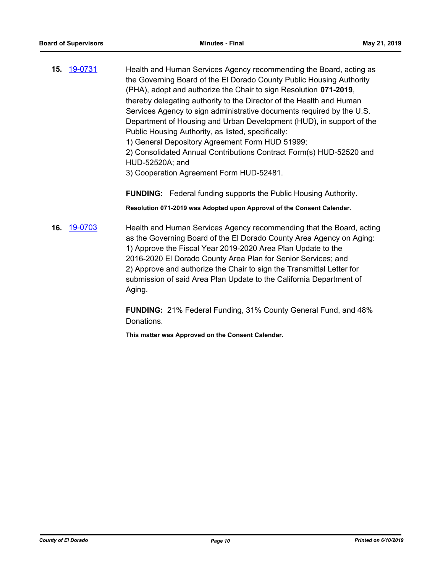**15.** [19-0731](http://eldorado.legistar.com/gateway.aspx?m=l&id=/matter.aspx?key=26053) Health and Human Services Agency recommending the Board, acting as the Governing Board of the El Dorado County Public Housing Authority (PHA), adopt and authorize the Chair to sign Resolution **071-2019**, thereby delegating authority to the Director of the Health and Human Services Agency to sign administrative documents required by the U.S. Department of Housing and Urban Development (HUD), in support of the Public Housing Authority, as listed, specifically:

1) General Depository Agreement Form HUD 51999;

2) Consolidated Annual Contributions Contract Form(s) HUD-52520 and HUD-52520A; and

3) Cooperation Agreement Form HUD-52481.

**FUNDING:** Federal funding supports the Public Housing Authority.

**Resolution 071-2019 was Adopted upon Approval of the Consent Calendar.**

**16.** [19-0703](http://eldorado.legistar.com/gateway.aspx?m=l&id=/matter.aspx?key=26025) Health and Human Services Agency recommending that the Board, acting as the Governing Board of the El Dorado County Area Agency on Aging: 1) Approve the Fiscal Year 2019-2020 Area Plan Update to the 2016-2020 El Dorado County Area Plan for Senior Services; and 2) Approve and authorize the Chair to sign the Transmittal Letter for submission of said Area Plan Update to the California Department of Aging.

> **FUNDING:** 21% Federal Funding, 31% County General Fund, and 48% Donations.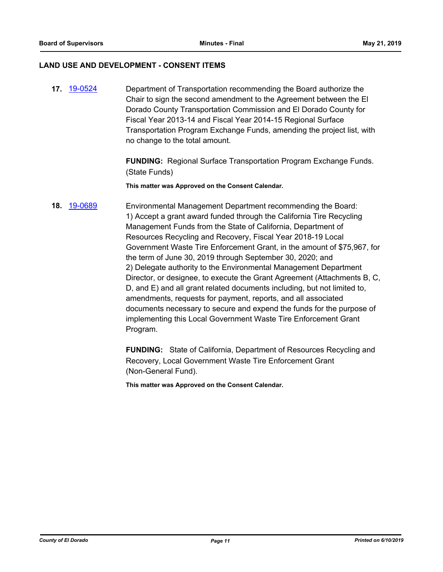#### **LAND USE AND DEVELOPMENT - CONSENT ITEMS**

**17.** [19-0524](http://eldorado.legistar.com/gateway.aspx?m=l&id=/matter.aspx?key=25845) Department of Transportation recommending the Board authorize the Chair to sign the second amendment to the Agreement between the El Dorado County Transportation Commission and El Dorado County for Fiscal Year 2013-14 and Fiscal Year 2014-15 Regional Surface Transportation Program Exchange Funds, amending the project list, with no change to the total amount.

> **FUNDING:** Regional Surface Transportation Program Exchange Funds. (State Funds)

**This matter was Approved on the Consent Calendar.**

# **18.** [19-0689](http://eldorado.legistar.com/gateway.aspx?m=l&id=/matter.aspx?key=26011) Environmental Management Department recommending the Board: 1) Accept a grant award funded through the California Tire Recycling Management Funds from the State of California, Department of Resources Recycling and Recovery, Fiscal Year 2018-19 Local Government Waste Tire Enforcement Grant, in the amount of \$75,967, for the term of June 30, 2019 through September 30, 2020; and 2) Delegate authority to the Environmental Management Department Director, or designee, to execute the Grant Agreement (Attachments B, C, D, and E) and all grant related documents including, but not limited to, amendments, requests for payment, reports, and all associated documents necessary to secure and expend the funds for the purpose of implementing this Local Government Waste Tire Enforcement Grant Program.

**FUNDING:** State of California, Department of Resources Recycling and Recovery, Local Government Waste Tire Enforcement Grant (Non-General Fund).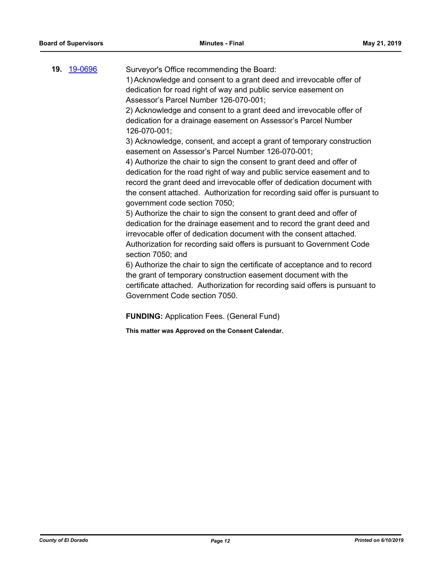| 19. | 19-0696 | Surveyor's Office recommending the Board:<br>1) Acknowledge and consent to a grant deed and irrevocable offer of<br>dedication for road right of way and public service easement on |
|-----|---------|-------------------------------------------------------------------------------------------------------------------------------------------------------------------------------------|
|     |         | Assessor's Parcel Number 126-070-001;                                                                                                                                               |
|     |         | 2) Acknowledge and consent to a grant deed and irrevocable offer of<br>dedication for a drainage easement on Assessor's Parcel Number<br>126-070-001;                               |
|     |         | 3) Acknowledge, consent, and accept a grant of temporary construction<br>easement on Assessor's Parcel Number 126-070-001;                                                          |
|     |         | 4) Authorize the chair to sign the consent to grant deed and offer of                                                                                                               |
|     |         | dedication for the road right of way and public service easement and to                                                                                                             |
|     |         | record the grant deed and irrevocable offer of dedication document with                                                                                                             |
|     |         | the consent attached. Authorization for recording said offer is pursuant to<br>government code section 7050;                                                                        |
|     |         | 5) Authorize the chair to sign the consent to grant deed and offer of                                                                                                               |
|     |         | dedication for the drainage easement and to record the grant deed and                                                                                                               |
|     |         | irrevocable offer of dedication document with the consent attached.                                                                                                                 |
|     |         | Authorization for recording said offers is pursuant to Government Code<br>section 7050; and                                                                                         |
|     |         | 6) Authorize the chair to sign the certificate of acceptance and to record                                                                                                          |

the grant of temporary construction easement document with the certificate attached. Authorization for recording said offers is pursuant to Government Code section 7050.

**FUNDING:** Application Fees. (General Fund)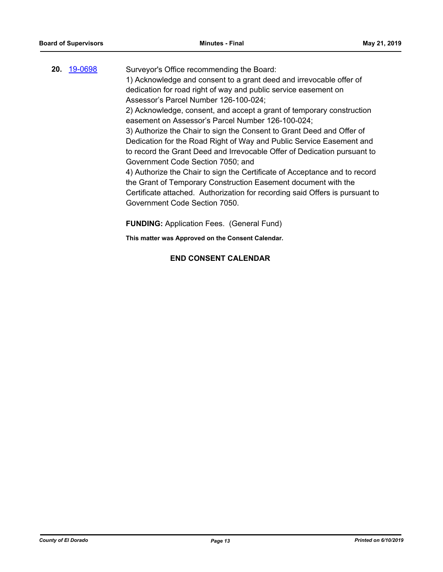# **20.** [19-0698](http://eldorado.legistar.com/gateway.aspx?m=l&id=/matter.aspx?key=26020) Surveyor's Office recommending the Board: 1) Acknowledge and consent to a grant deed and irrevocable offer of dedication for road right of way and public service easement on Assessor's Parcel Number 126-100-024; 2) Acknowledge, consent, and accept a grant of temporary construction easement on Assessor's Parcel Number 126-100-024; 3) Authorize the Chair to sign the Consent to Grant Deed and Offer of Dedication for the Road Right of Way and Public Service Easement and to record the Grant Deed and Irrevocable Offer of Dedication pursuant to Government Code Section 7050; and 4) Authorize the Chair to sign the Certificate of Acceptance and to record the Grant of Temporary Construction Easement document with the Certificate attached. Authorization for recording said Offers is pursuant to Government Code Section 7050.

**FUNDING:** Application Fees. (General Fund)

**This matter was Approved on the Consent Calendar.**

# **END CONSENT CALENDAR**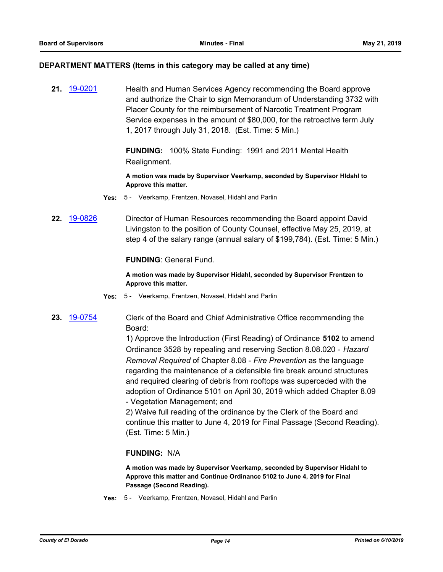#### **DEPARTMENT MATTERS (Items in this category may be called at any time)**

**21.** [19-0201](http://eldorado.legistar.com/gateway.aspx?m=l&id=/matter.aspx?key=25521) Health and Human Services Agency recommending the Board approve and authorize the Chair to sign Memorandum of Understanding 3732 with Placer County for the reimbursement of Narcotic Treatment Program Service expenses in the amount of \$80,000, for the retroactive term July 1, 2017 through July 31, 2018. (Est. Time: 5 Min.)

> **FUNDING:** 100% State Funding: 1991 and 2011 Mental Health Realignment.

**A motion was made by Supervisor Veerkamp, seconded by Supervisor HIdahl to Approve this matter.**

- **Yes:** 5 Veerkamp, Frentzen, Novasel, Hidahl and Parlin
- **22.** [19-0826](http://eldorado.legistar.com/gateway.aspx?m=l&id=/matter.aspx?key=26149) Director of Human Resources recommending the Board appoint David Livingston to the position of County Counsel, effective May 25, 2019, at step 4 of the salary range (annual salary of \$199,784). (Est. Time: 5 Min.)

#### **FUNDING**: General Fund.

**A motion was made by Supervisor Hidahl, seconded by Supervisor Frentzen to Approve this matter.**

- **Yes:** 5 Veerkamp, Frentzen, Novasel, Hidahl and Parlin
- **23.** [19-0754](http://eldorado.legistar.com/gateway.aspx?m=l&id=/matter.aspx?key=26076) Clerk of the Board and Chief Administrative Office recommending the Board:

1) Approve the Introduction (First Reading) of Ordinance **5102** to amend Ordinance 3528 by repealing and reserving Section 8.08.020 - *Hazard Removal Required* of Chapter 8.08 - *Fire Prevention* as the language regarding the maintenance of a defensible fire break around structures and required clearing of debris from rooftops was superceded with the adoption of Ordinance 5101 on April 30, 2019 which added Chapter 8.09 - Vegetation Management; and

2) Waive full reading of the ordinance by the Clerk of the Board and continue this matter to June 4, 2019 for Final Passage (Second Reading). (Est. Time: 5 Min.)

# **FUNDING:** N/A

**A motion was made by Supervisor Veerkamp, seconded by Supervisor Hidahl to Approve this matter and Continue Ordinance 5102 to June 4, 2019 for Final Passage (Second Reading).**

**Yes:** 5 - Veerkamp, Frentzen, Novasel, Hidahl and Parlin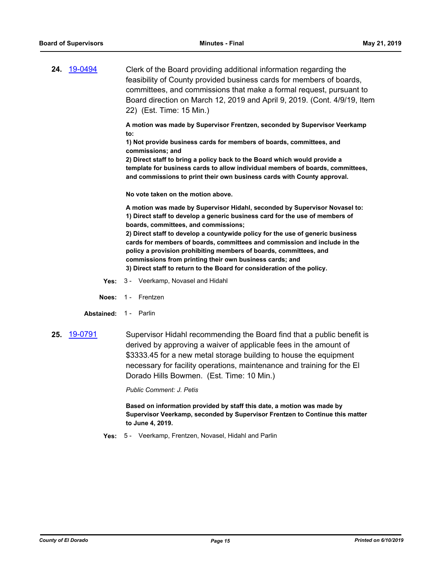**24.** [19-0494](http://eldorado.legistar.com/gateway.aspx?m=l&id=/matter.aspx?key=25815) Clerk of the Board providing additional information regarding the feasibility of County provided business cards for members of boards, committees, and commissions that make a formal request, pursuant to Board direction on March 12, 2019 and April 9, 2019. (Cont. 4/9/19, Item 22) (Est. Time: 15 Min.)

> **A motion was made by Supervisor Frentzen, seconded by Supervisor Veerkamp to:**

**1) Not provide business cards for members of boards, committees, and commissions; and** 

**2) Direct staff to bring a policy back to the Board which would provide a template for business cards to allow individual members of boards, committees, and commissions to print their own business cards with County approval.**

**No vote taken on the motion above.**

**A motion was made by Supervisor Hidahl, seconded by Supervisor Novasel to: 1) Direct staff to develop a generic business card for the use of members of boards, committees, and commissions;** 

**2) Direct staff to develop a countywide policy for the use of generic business cards for members of boards, committees and commission and include in the policy a provision prohibiting members of boards, committees, and commissions from printing their own business cards; and 3) Direct staff to return to the Board for consideration of the policy.**

- **Yes:** 3 Veerkamp, Novasel and Hidahl
- **Noes:** 1 Frentzen
- **Abstained:** 1 Parlin
- **25.** [19-0791](http://eldorado.legistar.com/gateway.aspx?m=l&id=/matter.aspx?key=26114) Supervisor Hidahl recommending the Board find that a public benefit is derived by approving a waiver of applicable fees in the amount of \$3333.45 for a new metal storage building to house the equipment necessary for facility operations, maintenance and training for the El Dorado Hills Bowmen. (Est. Time: 10 Min.)

*Public Comment: J. Petis*

**Based on information provided by staff this date, a motion was made by Supervisor Veerkamp, seconded by Supervisor Frentzen to Continue this matter to June 4, 2019.**

**Yes:** 5 - Veerkamp, Frentzen, Novasel, Hidahl and Parlin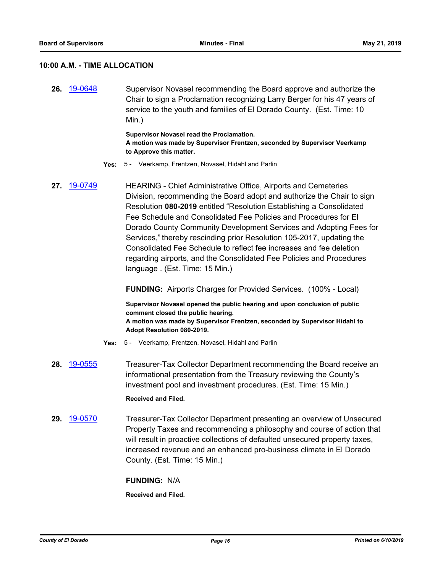#### **10:00 A.M. - TIME ALLOCATION**

**26.** [19-0648](http://eldorado.legistar.com/gateway.aspx?m=l&id=/matter.aspx?key=25970) Supervisor Novasel recommending the Board approve and authorize the Chair to sign a Proclamation recognizing Larry Berger for his 47 years of service to the youth and families of El Dorado County. (Est. Time: 10 Min.)

> **Supervisor Novasel read the Proclamation. A motion was made by Supervisor Frentzen, seconded by Supervisor Veerkamp to Approve this matter.**

- **Yes:** 5 Veerkamp, Frentzen, Novasel, Hidahl and Parlin
- **27.** [19-0749](http://eldorado.legistar.com/gateway.aspx?m=l&id=/matter.aspx?key=26071) HEARING Chief Administrative Office, Airports and Cemeteries Division, recommending the Board adopt and authorize the Chair to sign Resolution **080-2019** entitled "Resolution Establishing a Consolidated Fee Schedule and Consolidated Fee Policies and Procedures for El Dorado County Community Development Services and Adopting Fees for Services," thereby rescinding prior Resolution 105-2017, updating the Consolidated Fee Schedule to reflect fee increases and fee deletion regarding airports, and the Consolidated Fee Policies and Procedures language . (Est. Time: 15 Min.)

**FUNDING:** Airports Charges for Provided Services. (100% - Local)

**Supervisor Novasel opened the public hearing and upon conclusion of public comment closed the public hearing. A motion was made by Supervisor Frentzen, seconded by Supervisor Hidahl to Adopt Resolution 080-2019.**

- **Yes:** 5 Veerkamp, Frentzen, Novasel, Hidahl and Parlin
- **28.** [19-0555](http://eldorado.legistar.com/gateway.aspx?m=l&id=/matter.aspx?key=25876) Treasurer-Tax Collector Department recommending the Board receive an informational presentation from the Treasury reviewing the County's investment pool and investment procedures. (Est. Time: 15 Min.) **Received and Filed.**
- **29.** [19-0570](http://eldorado.legistar.com/gateway.aspx?m=l&id=/matter.aspx?key=25891) Treasurer-Tax Collector Department presenting an overview of Unsecured Property Taxes and recommending a philosophy and course of action that will result in proactive collections of defaulted unsecured property taxes, increased revenue and an enhanced pro-business climate in El Dorado County. (Est. Time: 15 Min.)

**FUNDING:** N/A

**Received and Filed.**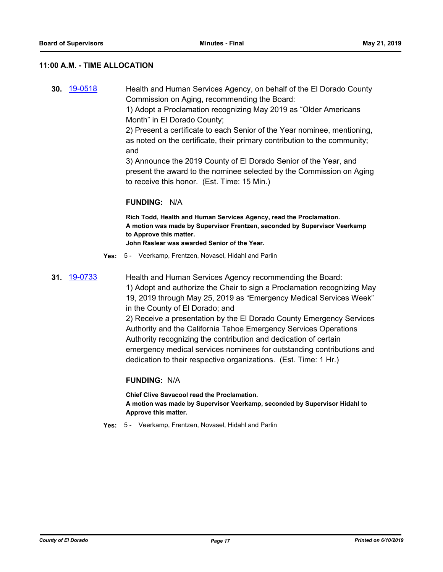#### **11:00 A.M. - TIME ALLOCATION**

**30.** [19-0518](http://eldorado.legistar.com/gateway.aspx?m=l&id=/matter.aspx?key=25839) Health and Human Services Agency, on behalf of the El Dorado County Commission on Aging, recommending the Board:

1) Adopt a Proclamation recognizing May 2019 as "Older Americans Month" in El Dorado County;

2) Present a certificate to each Senior of the Year nominee, mentioning, as noted on the certificate, their primary contribution to the community; and

3) Announce the 2019 County of El Dorado Senior of the Year, and present the award to the nominee selected by the Commission on Aging to receive this honor. (Est. Time: 15 Min.)

#### **FUNDING:** N/A

**Rich Todd, Health and Human Services Agency, read the Proclamation. A motion was made by Supervisor Frentzen, seconded by Supervisor Veerkamp to Approve this matter.**

**John Raslear was awarded Senior of the Year.**

- **Yes:** 5 Veerkamp, Frentzen, Novasel, Hidahl and Parlin
- **31.** [19-0733](http://eldorado.legistar.com/gateway.aspx?m=l&id=/matter.aspx?key=26055) Health and Human Services Agency recommending the Board:

1) Adopt and authorize the Chair to sign a Proclamation recognizing May 19, 2019 through May 25, 2019 as "Emergency Medical Services Week" in the County of El Dorado; and

2) Receive a presentation by the El Dorado County Emergency Services Authority and the California Tahoe Emergency Services Operations Authority recognizing the contribution and dedication of certain emergency medical services nominees for outstanding contributions and dedication to their respective organizations. (Est. Time: 1 Hr.)

#### **FUNDING:** N/A

**Chief Clive Savacool read the Proclamation. A motion was made by Supervisor Veerkamp, seconded by Supervisor Hidahl to Approve this matter.**

**Yes:** 5 - Veerkamp, Frentzen, Novasel, Hidahl and Parlin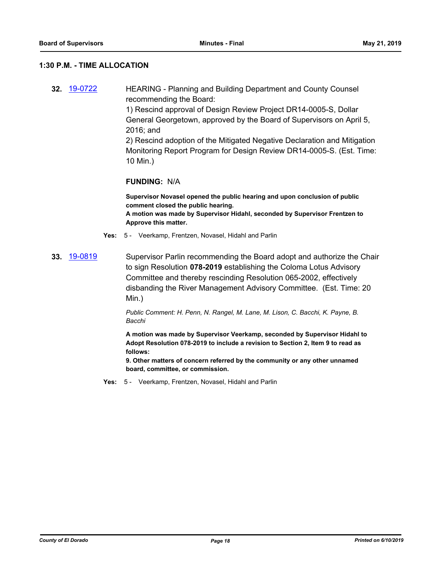#### **1:30 P.M. - TIME ALLOCATION**

**32.** [19-0722](http://eldorado.legistar.com/gateway.aspx?m=l&id=/matter.aspx?key=26044) HEARING - Planning and Building Department and County Counsel recommending the Board: 1) Rescind approval of Design Review Project DR14-0005-S, Dollar General Georgetown, approved by the Board of Supervisors on April 5, 2016; and 2) Rescind adoption of the Mitigated Negative Declaration and Mitigation Monitoring Report Program for Design Review DR14-0005-S. (Est. Time: 10 Min.)

#### **FUNDING:** N/A

**Supervisor Novasel opened the public hearing and upon conclusion of public comment closed the public hearing. A motion was made by Supervisor Hidahl, seconded by Supervisor Frentzen to Approve this matter.**

- **Yes:** 5 Veerkamp, Frentzen, Novasel, Hidahl and Parlin
- **33.** [19-0819](http://eldorado.legistar.com/gateway.aspx?m=l&id=/matter.aspx?key=26142) Supervisor Parlin recommending the Board adopt and authorize the Chair to sign Resolution **078-2019** establishing the Coloma Lotus Advisory Committee and thereby rescinding Resolution 065-2002, effectively disbanding the River Management Advisory Committee. (Est. Time: 20 Min.)

*Public Comment: H. Penn, N. Rangel, M. Lane, M. Lison, C. Bacchi, K. Payne, B. Bacchi*

**A motion was made by Supervisor Veerkamp, seconded by Supervisor Hidahl to Adopt Resolution 078-2019 to include a revision to Section 2, Item 9 to read as follows:**

**9. Other matters of concern referred by the community or any other unnamed board, committee, or commission.**

**Yes:** 5 - Veerkamp, Frentzen, Novasel, Hidahl and Parlin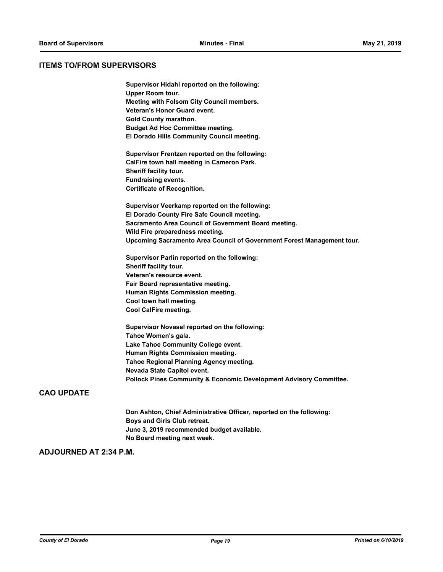#### **ITEMS TO/FROM SUPERVISORS**

**Supervisor Hidahl reported on the following: Upper Room tour. Meeting with Folsom City Council members. Veteran's Honor Guard event. Gold County marathon. Budget Ad Hoc Committee meeting. El Dorado Hills Community Council meeting. Supervisor Frentzen reported on the following: CalFire town hall meeting in Cameron Park. Sheriff facility tour. Fundraising events. Certificate of Recognition. Supervisor Veerkamp reported on the following: El Dorado County Fire Safe Council meeting. Sacramento Area Council of Government Board meeting. Wild Fire preparedness meeting. Upcoming Sacramento Area Council of Government Forest Management tour.**

**Supervisor Parlin reported on the following: Sheriff facility tour. Veteran's resource event. Fair Board representative meeting. Human Rights Commission meeting. Cool town hall meeting. Cool CalFire meeting.**

**Supervisor Novasel reported on the following: Tahoe Women's gala. Lake Tahoe Community College event. Human Rights Commission meeting. Tahoe Regional Planning Agency meeting. Nevada State Capitol event. Pollock Pines Community & Economic Development Advisory Committee.**

### **CAO UPDATE**

**Don Ashton, Chief Administrative Officer, reported on the following: Boys and Girls Club retreat. June 3, 2019 recommended budget available. No Board meeting next week.**

# **ADJOURNED AT 2:34 P.M.**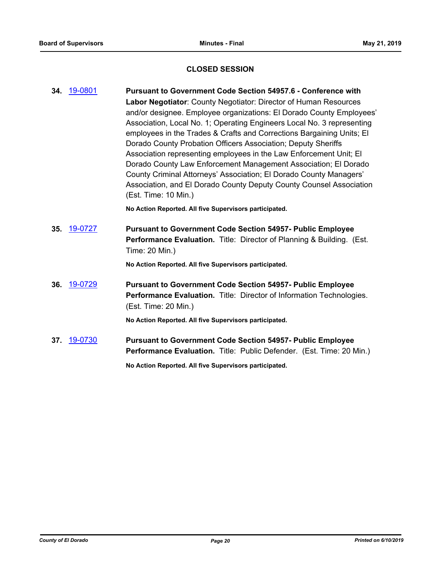# **CLOSED SESSION**

| 34. | 19-0801 | Pursuant to Government Code Section 54957.6 - Conference with                |
|-----|---------|------------------------------------------------------------------------------|
|     |         | Labor Negotiator: County Negotiator: Director of Human Resources             |
|     |         | and/or designee. Employee organizations: El Dorado County Employees'         |
|     |         | Association, Local No. 1; Operating Engineers Local No. 3 representing       |
|     |         | employees in the Trades & Crafts and Corrections Bargaining Units; El        |
|     |         | Dorado County Probation Officers Association; Deputy Sheriffs                |
|     |         | Association representing employees in the Law Enforcement Unit; El           |
|     |         | Dorado County Law Enforcement Management Association; El Dorado              |
|     |         | County Criminal Attorneys' Association; El Dorado County Managers'           |
|     |         | Association, and El Dorado County Deputy County Counsel Association          |
|     |         | (Est. Time: 10 Min.)                                                         |
|     |         | No Action Reported. All five Supervisors participated.                       |
| 35. | 19-0727 | <b>Pursuant to Government Code Section 54957- Public Employee</b>            |
|     |         | <b>Performance Evaluation.</b> Title: Director of Planning & Building. (Est. |
|     |         | Time: 20 Min.)                                                               |
|     |         | No Action Reported. All five Supervisors participated.                       |
| 36. | 19-0729 | <b>Pursuant to Government Code Section 54957- Public Employee</b>            |
|     |         | Performance Evaluation. Title: Director of Information Technologies.         |
|     |         | (Est. Time: 20 Min.)                                                         |
|     |         | No Action Reported. All five Supervisors participated.                       |
| 37. | 19-0730 | <b>Pursuant to Government Code Section 54957- Public Employee</b>            |
|     |         | Performance Evaluation. Title: Public Defender. (Est. Time: 20 Min.)         |
|     |         |                                                                              |
|     |         | No Action Reported. All five Supervisors participated.                       |
|     |         |                                                                              |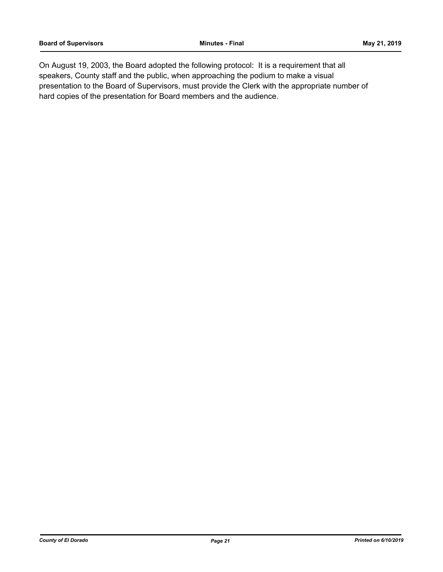On August 19, 2003, the Board adopted the following protocol: It is a requirement that all speakers, County staff and the public, when approaching the podium to make a visual presentation to the Board of Supervisors, must provide the Clerk with the appropriate number of hard copies of the presentation for Board members and the audience.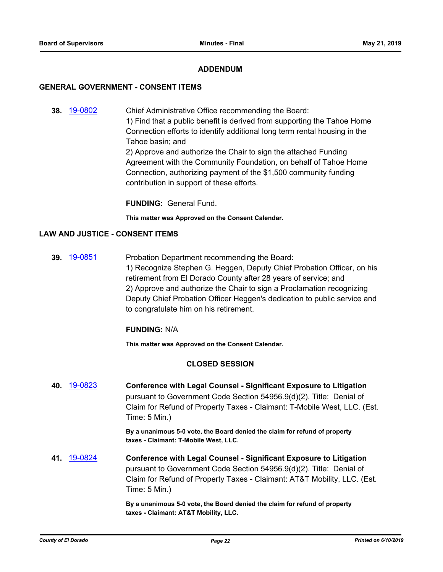# **ADDENDUM**

#### **GENERAL GOVERNMENT - CONSENT ITEMS**

**38.** [19-0802](http://eldorado.legistar.com/gateway.aspx?m=l&id=/matter.aspx?key=26125) Chief Administrative Office recommending the Board: 1) Find that a public benefit is derived from supporting the Tahoe Home Connection efforts to identify additional long term rental housing in the Tahoe basin; and 2) Approve and authorize the Chair to sign the attached Funding Agreement with the Community Foundation, on behalf of Tahoe Home Connection, authorizing payment of the \$1,500 community funding contribution in support of these efforts.

**FUNDING:** General Fund.

**This matter was Approved on the Consent Calendar.**

# **LAW AND JUSTICE - CONSENT ITEMS**

**39.** [19-0851](http://eldorado.legistar.com/gateway.aspx?m=l&id=/matter.aspx?key=26174) Probation Department recommending the Board: 1) Recognize Stephen G. Heggen, Deputy Chief Probation Officer, on his retirement from El Dorado County after 28 years of service; and 2) Approve and authorize the Chair to sign a Proclamation recognizing Deputy Chief Probation Officer Heggen's dedication to public service and to congratulate him on his retirement.

#### **FUNDING:** N/A

**This matter was Approved on the Consent Calendar.**

# **CLOSED SESSION**

**40.** [19-0823](http://eldorado.legistar.com/gateway.aspx?m=l&id=/matter.aspx?key=26146) **Conference with Legal Counsel - Significant Exposure to Litigation** pursuant to Government Code Section 54956.9(d)(2). Title: Denial of Claim for Refund of Property Taxes - Claimant: T-Mobile West, LLC. (Est. Time: 5 Min.)

> **By a unanimous 5-0 vote, the Board denied the claim for refund of property taxes - Claimant: T-Mobile West, LLC.**

**41.** [19-0824](http://eldorado.legistar.com/gateway.aspx?m=l&id=/matter.aspx?key=26147) **Conference with Legal Counsel - Significant Exposure to Litigation** pursuant to Government Code Section 54956.9(d)(2). Title: Denial of Claim for Refund of Property Taxes - Claimant: AT&T Mobility, LLC. (Est. Time: 5 Min.)

> **By a unanimous 5-0 vote, the Board denied the claim for refund of property taxes - Claimant: AT&T Mobility, LLC.**